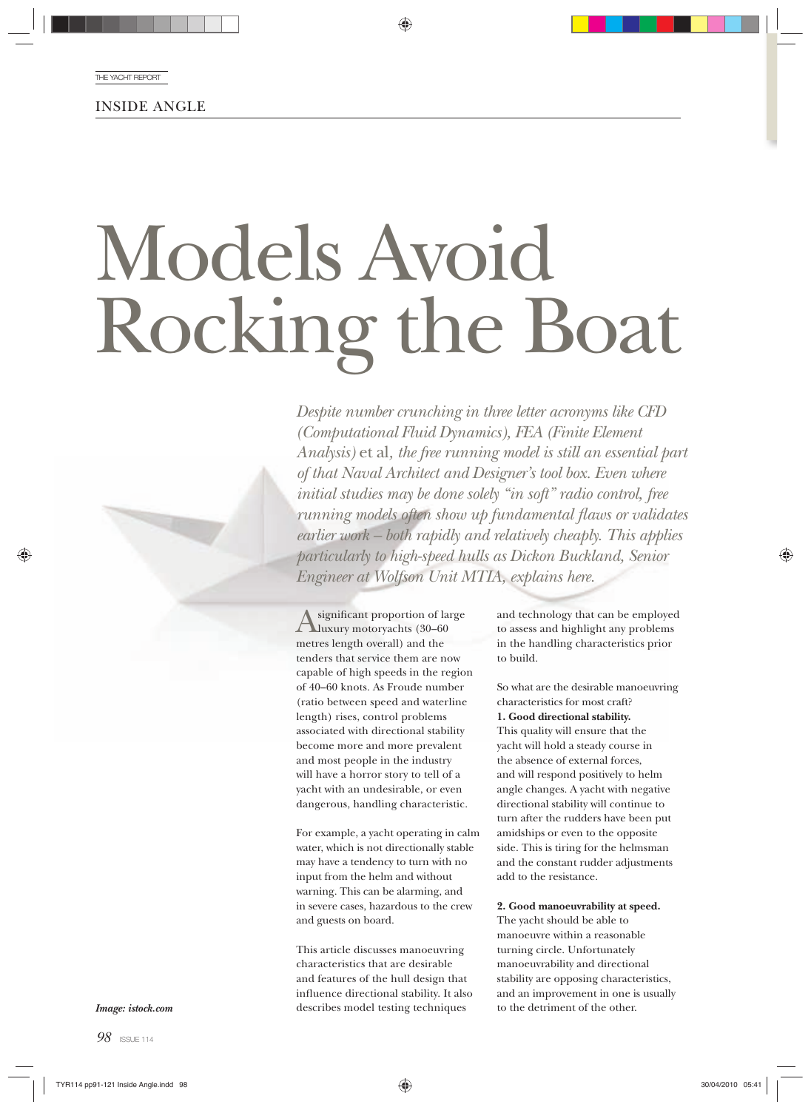INSIDE ANGLE

# Models Avoid Rocking the Boat

*Despite number crunching in three letter acronyms like CFD (Computational Fluid Dynamics), FEA (Finite Element Analysis)* et al*, the free running model is still an essential part of that Naval Architect and Designer's tool box. Even where initial studies may be done solely "in soft" radio control, free running models often show up fundamental flaws or validates earlier work – both rapidly and relatively cheaply. This applies particularly to high-speed hulls as Dickon Buckland, Senior Engineer at Wolfson Unit MTIA, explains here.*

Asignificant proportion of large<br>
luxury motoryachts (30–60 metres length overall) and the tenders that service them are now capable of high speeds in the region of 40–60 knots. As Froude number (ratio between speed and waterline length) rises, control problems associated with directional stability become more and more prevalent and most people in the industry will have a horror story to tell of a yacht with an undesirable, or even dangerous, handling characteristic.

For example, a yacht operating in calm water, which is not directionally stable may have a tendency to turn with no input from the helm and without warning. This can be alarming, and in severe cases, hazardous to the crew and guests on board.

This article discusses manoeuvring characteristics that are desirable and features of the hull design that influence directional stability. It also describes model testing techniques

and technology that can be employed to assess and highlight any problems in the handling characteristics prior to build.

So what are the desirable manoeuvring characteristics for most craft? **1. Good directional stability.** This quality will ensure that the yacht will hold a steady course in the absence of external forces, and will respond positively to helm angle changes. A yacht with negative directional stability will continue to turn after the rudders have been put amidships or even to the opposite side. This is tiring for the helmsman and the constant rudder adjustments add to the resistance.

**2. Good manoeuvrability at speed.**

The yacht should be able to manoeuvre within a reasonable turning circle. Unfortunately manoeuvrability and directional stability are opposing characteristics, and an improvement in one is usually to the detriment of the other.

*Image: istock.com*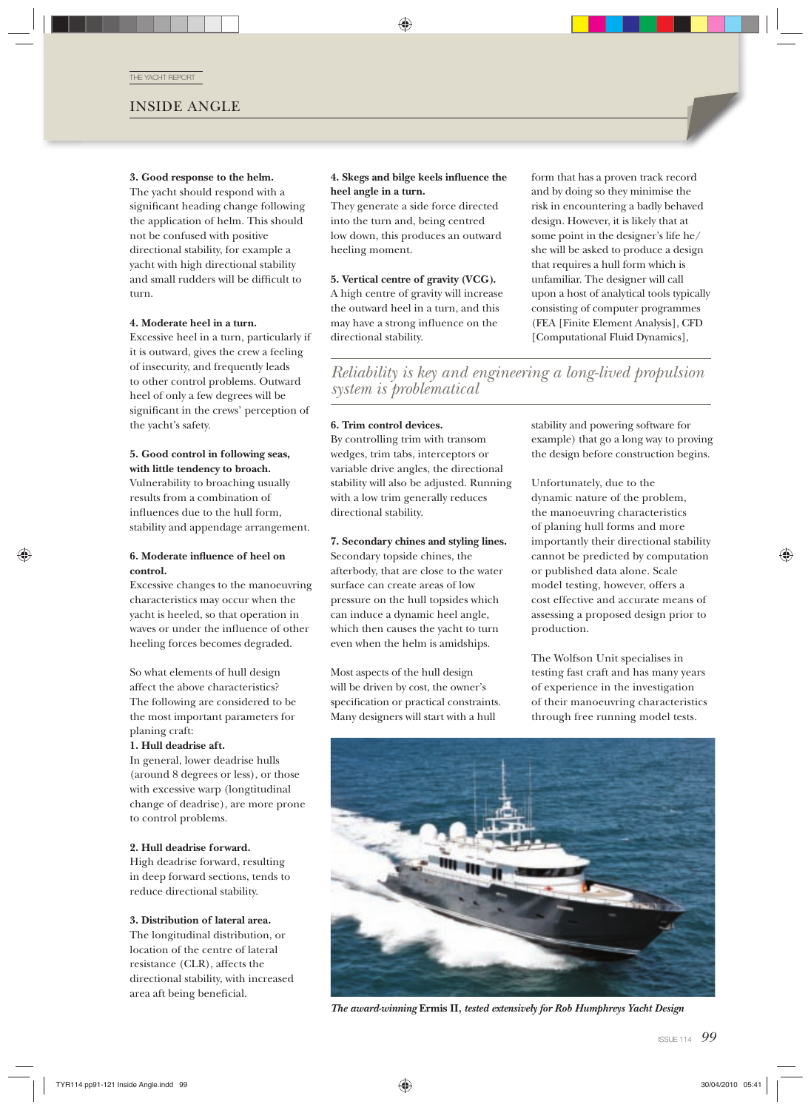THE YACHT REPORT

## INSIDE ANGLE

#### **3. Good response to the helm.**

The yacht should respond with a significant heading change following the application of helm. This should not be confused with positive directional stability, for example a yacht with high directional stability and small rudders will be difficult to turn.

#### **4. Moderate heel in a turn.**

Excessive heel in a turn, particularly if it is outward, gives the crew a feeling of insecurity, and frequently leads to other control problems. Outward heel of only a few degrees will be significant in the crews' perception of the yacht's safety.

#### **5. Good control in following seas, with little tendency to broach.**

Vulnerability to broaching usually results from a combination of influences due to the hull form, stability and appendage arrangement.

#### **6. Moderate influence of heel on control.**

Excessive changes to the manoeuvring characteristics may occur when the yacht is heeled, so that operation in waves or under the influence of other heeling forces becomes degraded.

So what elements of hull design affect the above characteristics? The following are considered to be the most important parameters for planing craft:

#### **1. Hull deadrise aft.**

In general, lower deadrise hulls (around 8 degrees or less), or those with excessive warp (longtitudinal change of deadrise), are more prone to control problems.

#### **2. Hull deadrise forward.**

High deadrise forward, resulting in deep forward sections, tends to reduce directional stability.

#### **3. Distribution of lateral area.**

The longitudinal distribution, or location of the centre of lateral resistance (CLR), affects the directional stability, with increased area aft being beneficial.

#### **4. Skegs and bilge keels influence the heel angle in a turn.**

They generate a side force directed into the turn and, being centred low down, this produces an outward heeling moment.

#### **5. Vertical centre of gravity (VCG).**

A high centre of gravity will increase the outward heel in a turn, and this may have a strong influence on the directional stability.

form that has a proven track record and by doing so they minimise the risk in encountering a badly behaved design. However, it is likely that at some point in the designer's life he/ she will be asked to produce a design that requires a hull form which is unfamiliar. The designer will call upon a host of analytical tools typically consisting of computer programmes (FEA [Finite Element Analysis], CFD [Computational Fluid Dynamics],

*Reliability is key and engineering a long-lived propulsion system is problematical*

#### **6. Trim control devices.**

By controlling trim with transom wedges, trim tabs, interceptors or variable drive angles, the directional stability will also be adjusted. Running with a low trim generally reduces directional stability.

**7. Secondary chines and styling lines.** Secondary topside chines, the afterbody, that are close to the water surface can create areas of low pressure on the hull topsides which can induce a dynamic heel angle, which then causes the yacht to turn even when the helm is amidships.

Most aspects of the hull design will be driven by cost, the owner's specification or practical constraints. Many designers will start with a hull

stability and powering software for example) that go a long way to proving the design before construction begins.

Unfortunately, due to the dynamic nature of the problem, the manoeuvring characteristics of planing hull forms and more importantly their directional stability cannot be predicted by computation or published data alone. Scale model testing, however, offers a cost effective and accurate means of assessing a proposed design prior to production.

The Wolfson Unit specialises in testing fast craft and has many years of experience in the investigation of their manoeuvring characteristics through free running model tests.



*The award-winning* **Ermis II***, tested extensively for Rob Humphreys Yacht Design*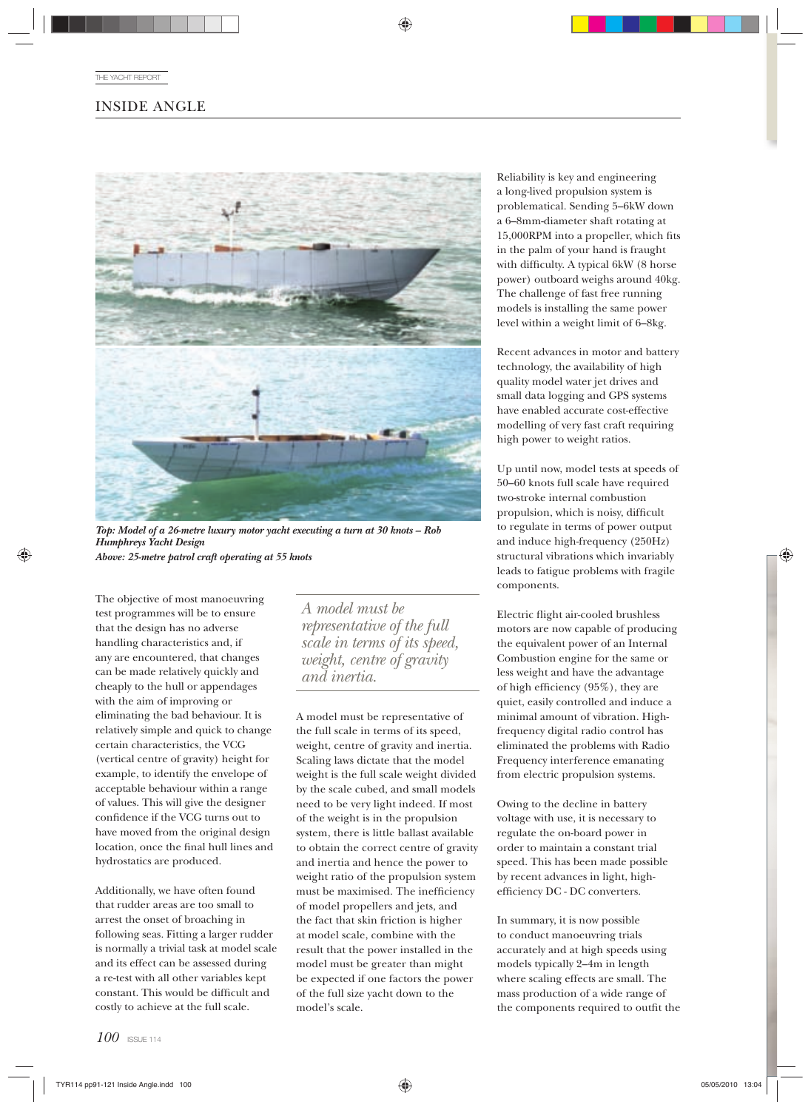## INSIDE ANGLE



*Top: Model of a 26-metre luxury motor yacht executing a turn at 30 knots – Rob Humphreys Yacht Design Above: 25-metre patrol craft operating at 55 knots*

The objective of most manoeuvring test programmes will be to ensure that the design has no adverse handling characteristics and, if any are encountered, that changes can be made relatively quickly and cheaply to the hull or appendages with the aim of improving or eliminating the bad behaviour. It is relatively simple and quick to change certain characteristics, the VCG (vertical centre of gravity) height for example, to identify the envelope of acceptable behaviour within a range of values. This will give the designer confidence if the VCG turns out to have moved from the original design location, once the final hull lines and hydrostatics are produced.

Additionally, we have often found that rudder areas are too small to arrest the onset of broaching in following seas. Fitting a larger rudder is normally a trivial task at model scale and its effect can be assessed during a re-test with all other variables kept constant. This would be difficult and costly to achieve at the full scale.

*A model must be representative of the full scale in terms of its speed, weight, centre of gravity and inertia.*

A model must be representative of the full scale in terms of its speed, weight, centre of gravity and inertia. Scaling laws dictate that the model weight is the full scale weight divided by the scale cubed, and small models need to be very light indeed. If most of the weight is in the propulsion system, there is little ballast available to obtain the correct centre of gravity and inertia and hence the power to weight ratio of the propulsion system must be maximised. The inefficiency of model propellers and jets, and the fact that skin friction is higher at model scale, combine with the result that the power installed in the model must be greater than might be expected if one factors the power of the full size yacht down to the model's scale.

Reliability is key and engineering a long-lived propulsion system is problematical. Sending 5–6kW down a 6–8mm-diameter shaft rotating at 15,000RPM into a propeller, which fits in the palm of your hand is fraught with difficulty. A typical 6kW (8 horse power) outboard weighs around 40kg. The challenge of fast free running models is installing the same power level within a weight limit of 6–8kg.

Recent advances in motor and battery technology, the availability of high quality model water jet drives and small data logging and GPS systems have enabled accurate cost-effective modelling of very fast craft requiring high power to weight ratios.

Up until now, model tests at speeds of 50–60 knots full scale have required two-stroke internal combustion propulsion, which is noisy, difficult to regulate in terms of power output and induce high-frequency (250Hz) structural vibrations which invariably leads to fatigue problems with fragile components.

Electric flight air-cooled brushless motors are now capable of producing the equivalent power of an Internal Combustion engine for the same or less weight and have the advantage of high efficiency  $(95\%)$ , they are quiet, easily controlled and induce a minimal amount of vibration. Highfrequency digital radio control has eliminated the problems with Radio Frequency interference emanating from electric propulsion systems.

Owing to the decline in battery voltage with use, it is necessary to regulate the on-board power in order to maintain a constant trial speed. This has been made possible by recent advances in light, highefficiency DC - DC converters.

In summary, it is now possible to conduct manoeuvring trials accurately and at high speeds using models typically 2–4m in length where scaling effects are small. The mass production of a wide range of the components required to outfit the